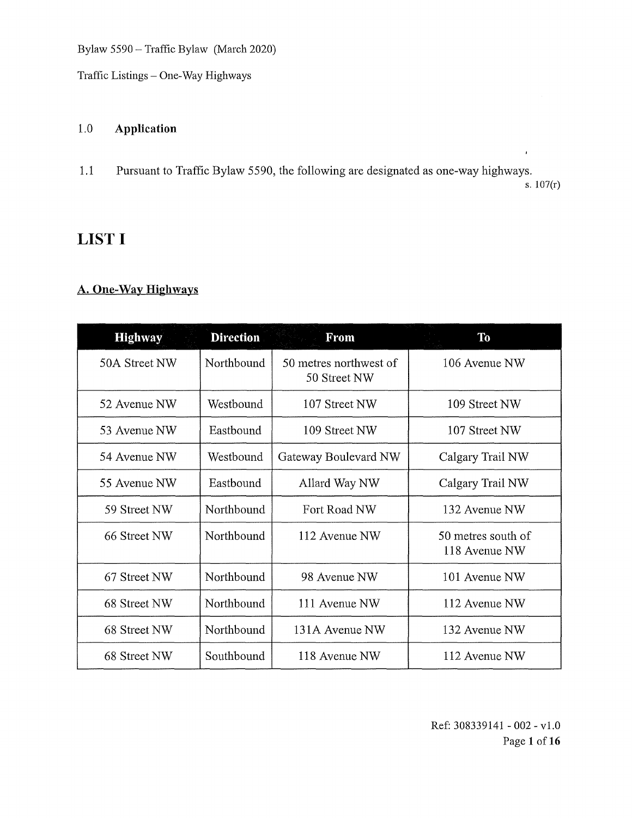Traffic Listings — One-Way Highways

#### 1.0 Application

1.1 Pursuant to Traffic Bylaw 5590, the following are designated as one-way highways.

s. 107(r)

 $\hat{I}$ 

# **LIST I**

#### A. One-Way Highways

| <b>Highway</b> | <b>Direction</b> | From                                   | <b>To</b>                           |
|----------------|------------------|----------------------------------------|-------------------------------------|
| 50A Street NW  | Northbound       | 50 metres northwest of<br>50 Street NW | 106 Avenue NW                       |
| 52 Avenue NW   | Westbound        | 107 Street NW                          | 109 Street NW                       |
| 53 Avenue NW   | Eastbound        | 109 Street NW                          | 107 Street NW                       |
| 54 Avenue NW   | Westbound        | Gateway Boulevard NW                   | Calgary Trail NW                    |
| 55 Avenue NW   | Easthound        | Allard Way NW                          | Calgary Trail NW                    |
| 59 Street NW   | Northbound       | Fort Road NW                           | 132 Avenue NW                       |
| 66 Street NW   | Northbound       | 112 Avenue NW                          | 50 metres south of<br>118 Avenue NW |
| 67 Street NW   | Northbound       | 98 Avenue NW                           | 101 Avenue NW                       |
| 68 Street NW   | Northbound       | 111 Avenue NW                          | 112 Avenue NW                       |
| 68 Street NW   | Northbound       | 131A Avenue NW                         | 132 Avenue NW                       |
| 68 Street NW   | Southbound       | 118 Avenue NW                          | 112 Avenue NW                       |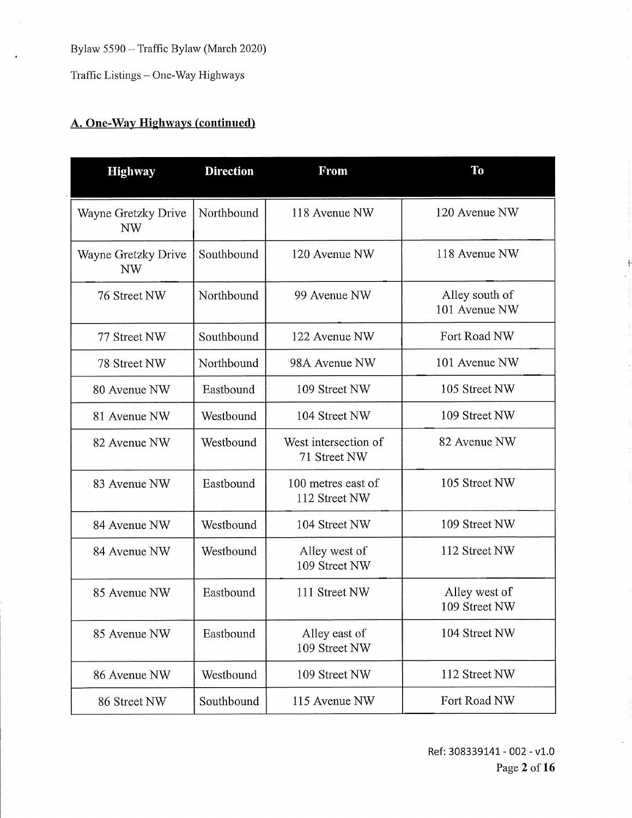Traffic Listings — One-Way Highways

# A. One-Way Highways (continued)

| <b>Highway</b>                   | <b>Direction</b> | <b>From</b>                          | T <sub>0</sub>                  |
|----------------------------------|------------------|--------------------------------------|---------------------------------|
| Wayne Gretzky Drive<br><b>NW</b> | Northbound       | 118 Avenue NW                        | 120 Avenue NW                   |
| Wayne Gretzky Drive<br>NW        | Southbound       | 120 Avenue NW                        | 118 Avenue NW                   |
| 76 Street NW                     | Northbound       | 99 Avenue NW                         | Alley south of<br>101 Avenue NW |
| 77 Street NW                     | Southbound       | 122 Avenue NW                        | Fort Road NW                    |
| 78 Street NW                     | Northbound       | 98A Avenue NW                        | 101 Avenue NW                   |
| 80 Avenue NW                     | Eastbound        | 109 Street NW                        | 105 Street NW                   |
| 81 Avenue NW                     | Westbound        | 104 Street NW                        | 109 Street NW                   |
| 82 Avenue NW                     | Westbound        | West intersection of<br>71 Street NW | 82 Avenue NW                    |
| 83 Avenue NW                     | Eastbound        | 100 metres east of<br>112 Street NW  | 105 Street NW                   |
| 84 Avenue NW                     | Westbound        | 104 Street NW                        | 109 Street NW                   |
| 84 Avenue NW                     | Westbound        | Alley west of<br>109 Street NW       | 112 Street NW                   |
| 85 Avenue NW                     | Eastbound        | 111 Street NW                        | Alley west of<br>109 Street NW  |
| 85 Avenue NW                     | Eastbound        | Alley east of<br>109 Street NW       | 104 Street NW                   |
| 86 Avenue NW                     | Westbound        | 109 Street NW                        | 112 Street NW                   |
| 86 Street NW                     | Southbound       | 115 Avenue NW                        | Fort Road NW                    |

÷.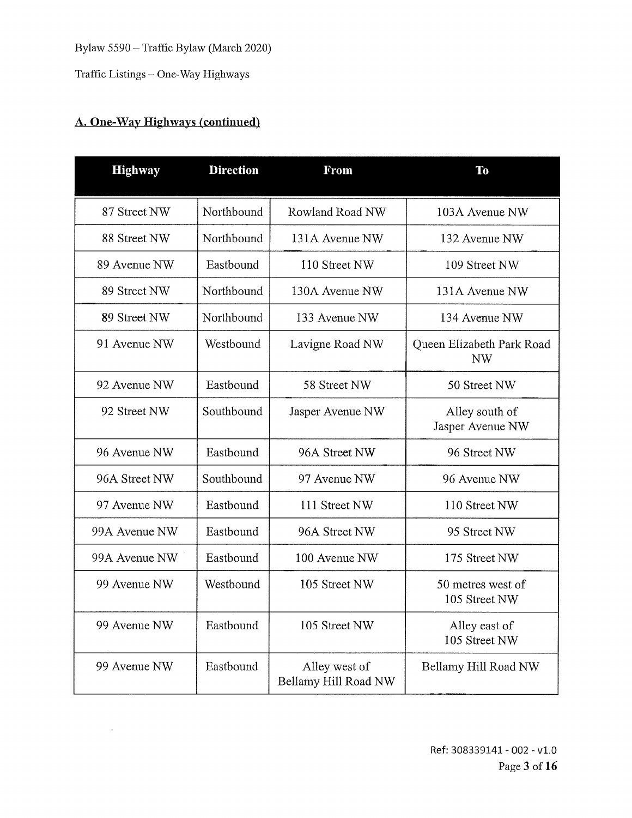Traffic Listings — One-Way Highways

### A. One-Way Highways (continued)

 $\sim$ 

| <b>Highway</b> | <b>Direction</b> | From                                  | T <sub>0</sub>                         |
|----------------|------------------|---------------------------------------|----------------------------------------|
| 87 Street NW   | Northbound       | Rowland Road NW                       | 103A Avenue NW                         |
| 88 Street NW   | Northbound       | 131A Avenue NW                        | 132 Avenue NW                          |
| 89 Avenue NW   | Eastbound        | 110 Street NW                         | 109 Street NW                          |
| 89 Street NW   | Northbound       | 130A Avenue NW                        | 131A Avenue NW                         |
| 89 Street NW   | Northbound       | 133 Avenue NW                         | 134 Avenue NW                          |
| 91 Avenue NW   | Westbound        | Lavigne Road NW                       | Queen Elizabeth Park Road<br><b>NW</b> |
| 92 Avenue NW   | Eastbound        | 58 Street NW                          | 50 Street NW                           |
| 92 Street NW   | Southbound       | Jasper Avenue NW                      | Alley south of<br>Jasper Avenue NW     |
| 96 Avenue NW   | Eastbound        | 96A Street NW                         | 96 Street NW                           |
| 96A Street NW  | Southbound       | 97 Avenue NW                          | 96 Avenue NW                           |
| 97 Avenue NW   | Eastbound        | 111 Street NW                         | 110 Street NW                          |
| 99A Avenue NW  | Eastbound        | 96A Street NW                         | 95 Street NW                           |
| 99A Avenue NW  | Eastbound        | 100 Avenue NW                         | 175 Street NW                          |
| 99 Avenue NW   | Westbound        | 105 Street NW                         | 50 metres west of<br>105 Street NW     |
| 99 Avenue NW   | Eastbound        | 105 Street NW                         | Alley east of<br>105 Street NW         |
| 99 Avenue NW   | Eastbound        | Alley west of<br>Bellamy Hill Road NW | Bellamy Hill Road NW                   |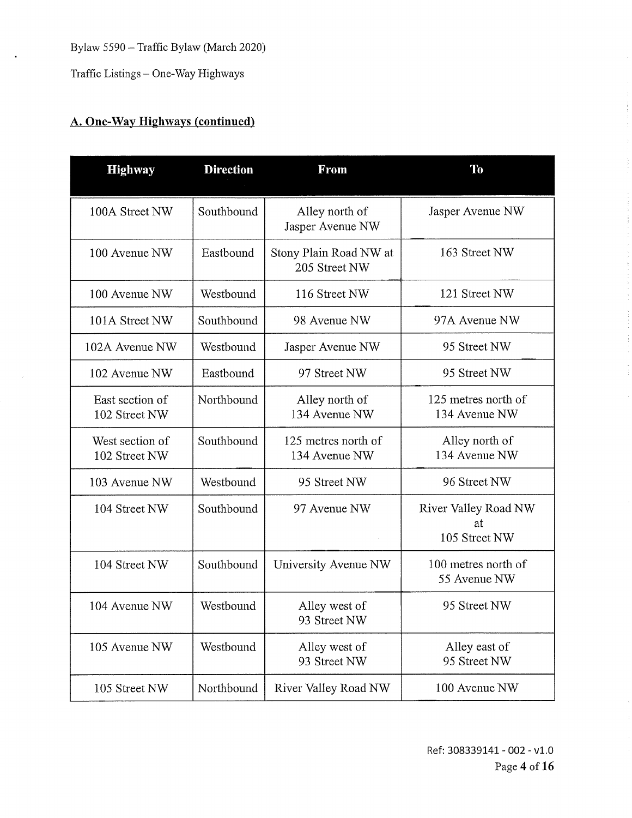Traffic Listings — One-Way Highways

# **A. One-Way Highways (continued)**

| <b>Highway</b>                   | <b>Direction</b> | <b>From</b>                             | <b>To</b>                                   |
|----------------------------------|------------------|-----------------------------------------|---------------------------------------------|
| 100A Street NW                   | Southbound       | Alley north of<br>Jasper Avenue NW      | Jasper Avenue NW                            |
| 100 Avenue NW                    | Eastbound        | Stony Plain Road NW at<br>205 Street NW | 163 Street NW                               |
| 100 Avenue NW                    | Westbound        | 116 Street NW                           | 121 Street NW                               |
| 101A Street NW                   | Southbound       | 98 Avenue NW                            | 97A Avenue NW                               |
| 102A Ayenue NW                   | Westbound        | Jasper Avenue NW                        | 95 Street NW                                |
| 102 Avenue NW                    | Eastbound        | 97 Street NW                            | 95 Street NW                                |
| East section of<br>102 Street NW | Northbound       | Alley north of<br>134 Avenue NW         | 125 metres north of<br>134 Avenue NW        |
| West section of<br>102 Street NW | Southbound       | 125 metres north of<br>134 Avenue NW    | Alley north of<br>134 Avenue NW             |
| 103 Avenue NW                    | Westbound        | 95 Street NW                            | 96 Street NW                                |
| 104 Street NW                    | Southbound       | 97 Avenue NW                            | River Valley Road NW<br>at<br>105 Street NW |
| 104 Street NW                    | Southbound       | University Avenue NW                    | 100 metres north of<br>55 Avenue NW         |
| 104 Avenue NW                    | Westbound        | Alley west of<br>93 Street NW           | 95 Street NW                                |
| 105 Avenue NW                    | Westbound        | Alley west of<br>93 Street NW           | Alley east of<br>95 Street NW               |
| 105 Street NW                    | Northbound       | River Valley Road NW                    | 100 Avenue NW                               |

 $\overline{z}$ 

 $\hat{\boldsymbol{z}}$ 

ł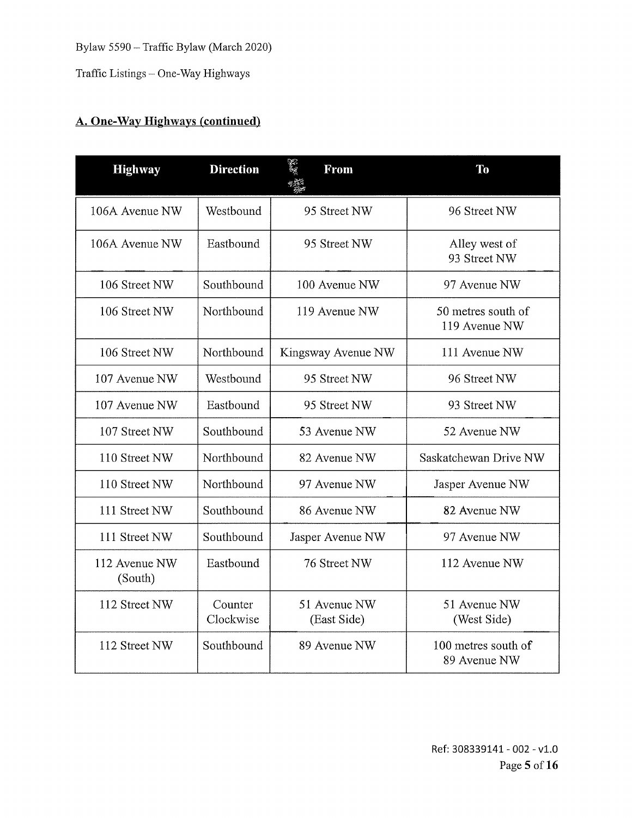Traffic Listings — One-Way Highways

| <b>Highway</b>           | <b>Direction</b>     | in 19<br><b>From</b>        | To                                  |
|--------------------------|----------------------|-----------------------------|-------------------------------------|
| 106A Avenue NW           | Westbound            | 95 Street NW                | 96 Street NW                        |
| 106A Avenue NW           | Eastbound            | 95 Street NW                | Alley west of<br>93 Street NW       |
| 106 Street NW            | Southbound           | 100 Avenue NW               | 97 Avenue NW                        |
| 106 Street NW            | Northbound           | 119 Avenue NW               | 50 metres south of<br>119 Avenue NW |
| 106 Street NW            | Northbound           | Kingsway Avenue NW          | 111 Avenue NW                       |
| 107 Avenue NW            | Westbound            | 95 Street NW                | 96 Street NW                        |
| 107 Avenue NW            | Eastbound            | 95 Street NW                | 93 Street NW                        |
| 107 Street NW            | Southbound           | 53 Avenue NW                | 52 Avenue NW                        |
| 110 Street NW            | Northbound           | 82 Avenue NW                | Saskatchewan Drive NW               |
| 110 Street NW            | Northbound           | 97 Avenue NW                | Jasper Avenue NW                    |
| 111 Street NW            | Southbound           | 86 Avenue NW                | 82 Avenue NW                        |
| 111 Street NW            | Southbound           | Jasper Avenue NW            | 97 Avenue NW                        |
| 112 Avenue NW<br>(South) | Eastbound            | 76 Street NW                | 112 Avenue NW                       |
| 112 Street NW            | Counter<br>Clockwise | 51 Avenue NW<br>(East Side) | 51 Avenue NW<br>(West Side)         |
| 112 Street NW            | Southbound           | 89 Avenue NW                | 100 metres south of<br>89 Avenue NW |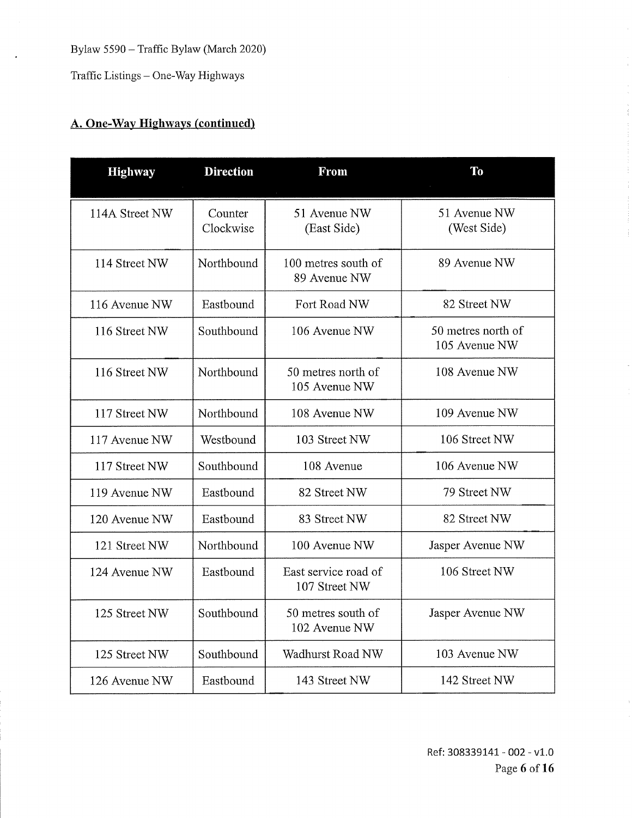Traffic Listings — One-Way Highways

| <b>Highway</b> | <b>Direction</b>     | <b>From</b>                           | <b>To</b>                           |
|----------------|----------------------|---------------------------------------|-------------------------------------|
| 114A Street NW | Counter<br>Clockwise | 51 Avenue NW<br>(East Side)           | 51 Avenue NW<br>(West Side)         |
| 114 Street NW  | Northbound           | 100 metres south of<br>89 Avenue NW   | 89 Avenue NW                        |
| 116 Avenue NW  | Eastbound            | Fort Road NW                          | 82 Street NW                        |
| 116 Street NW  | Southbound           | 106 Avenue NW                         | 50 metres north of<br>105 Avenue NW |
| 116 Street NW  | Northbound           | 50 metres north of<br>105 Avenue NW   | 108 Avenue NW                       |
| 117 Street NW  | Northbound           | 108 Avenue NW                         | 109 Avenue NW                       |
| 117 Avenue NW  | Westbound            | 103 Street NW                         | 106 Street NW                       |
| 117 Street NW  | Southbound           | 108 Avenue                            | 106 Avenue NW                       |
| 119 Avenue NW  | Eastbound            | 82 Street NW                          | 79 Street NW                        |
| 120 Avenue NW  | Eastbound            | 83 Street NW                          | 82 Street NW                        |
| 121 Street NW  | Northbound           | 100 Avenue NW                         | Jasper Avenue NW                    |
| 124 Avenue NW  | Eastbound            | East service road of<br>107 Street NW | 106 Street NW                       |
| 125 Street NW  | Southbound           | 50 metres south of<br>102 Avenue NW   | Jasper Avenue NW                    |
| 125 Street NW  | Southbound           | Wadhurst Road NW                      | 103 Avenue NW                       |
| 126 Avenue NW  | Eastbound            | 143 Street NW                         | 142 Street NW                       |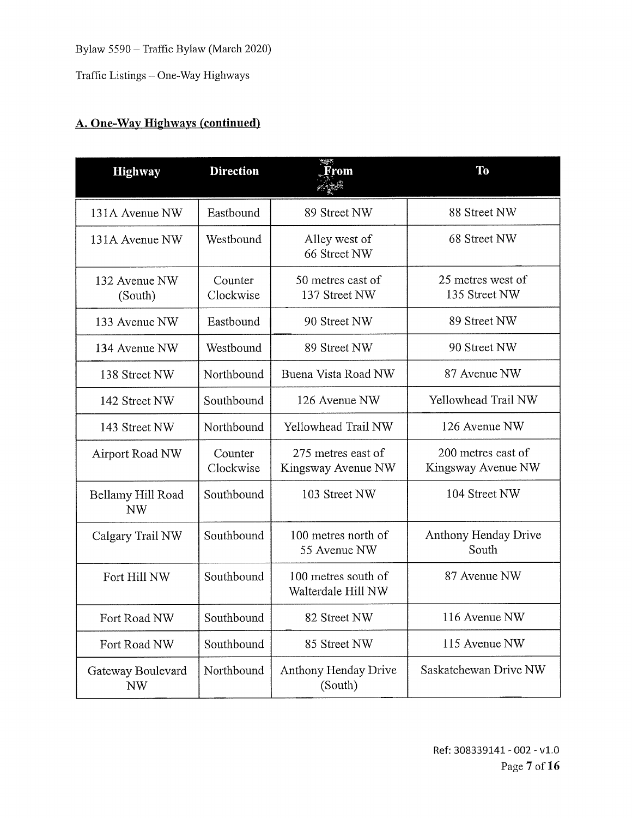Traffic Listings — One-Way Highways

| <b>Highway</b>                 | <b>Direction</b>     | From                                      | <b>To</b>                                |
|--------------------------------|----------------------|-------------------------------------------|------------------------------------------|
| 131A Avenue NW                 | Eastbound            | 89 Street NW                              | 88 Street NW                             |
| 131A Avenue NW                 | Westbound            | Alley west of<br>66 Street NW             | 68 Street NW                             |
| 132 Avenue NW<br>(South)       | Counter<br>Clockwise | 50 metres east of<br>137 Street NW        | 25 metres west of<br>135 Street NW       |
| 133 Avenue NW                  | Eastbound            | 90 Street NW                              | 89 Street NW                             |
| 134 Avenue NW                  | Westbound            | 89 Street NW                              | 90 Street NW                             |
| 138 Street NW                  | Northbound           | Buena Vista Road NW                       | 87 Avenue NW                             |
| 142 Street NW                  | Southbound           | 126 Avenue NW                             | Yellowhead Trail NW                      |
| 143 Street NW                  | Northbound           | Yellowhead Trail NW                       | 126 Avenue NW                            |
| Airport Road NW                | Counter<br>Clockwise | 275 metres east of<br>Kingsway Avenue NW  | 200 metres east of<br>Kingsway Avenue NW |
| Bellamy Hill Road<br><b>NW</b> | Southbound           | 103 Street NW                             | 104 Street NW                            |
| Calgary Trail NW               | Southbound           | 100 metres north of<br>55 Avenue NW       | Anthony Henday Drive<br>South            |
| Fort Hill NW                   | Southbound           | 100 metres south of<br>Walterdale Hill NW | 87 Avenue NW                             |
| Fort Road NW                   | Southbound           | 82 Street NW                              | 116 Avenue NW                            |
| Fort Road NW                   | Southbound           | 85 Street NW                              | 115 Avenue NW                            |
| Gateway Boulevard<br><b>NW</b> | Northbound           | Anthony Henday Drive<br>(South)           | Saskatchewan Drive NW                    |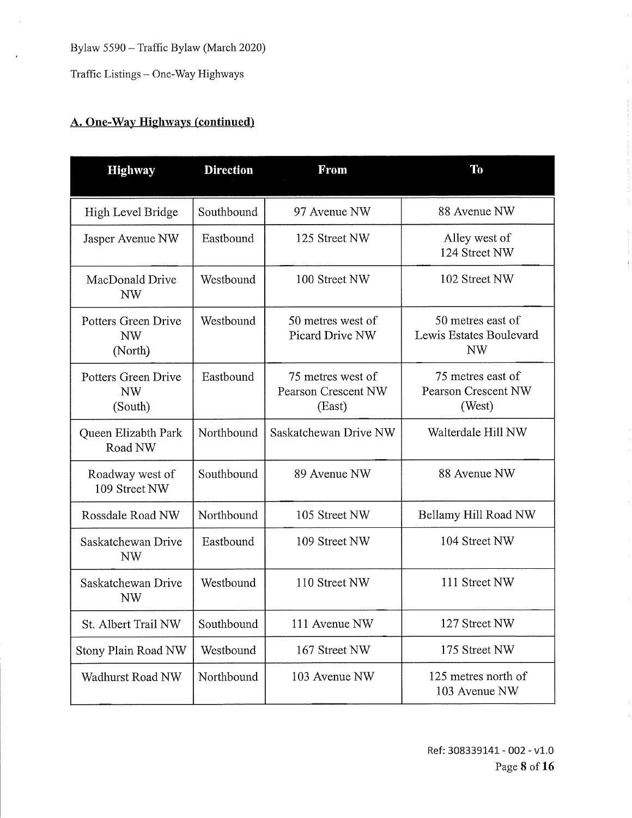Traffic Listings — One-Way Highways

| <b>Highway</b>                              | <b>Direction</b> | <b>From</b>                                               | <b>To</b>                                                 |
|---------------------------------------------|------------------|-----------------------------------------------------------|-----------------------------------------------------------|
| High Level Bridge                           | Southbound       | 97 Avenue NW                                              | 88 Avenue NW                                              |
| Jasper Avenue NW                            | Eastbound        | 125 Street NW                                             | Alley west of<br>124 Street NW                            |
| MacDonald Drive<br><b>NW</b>                | Westbound        | 100 Street NW                                             | 102 Street NW                                             |
| Potters Green Drive<br><b>NW</b><br>(North) | Westbound        | 50 metres west of<br>Picard Drive NW                      | 50 metres east of<br>Lewis Estates Boulevard<br><b>NW</b> |
| Potters Green Drive<br><b>NW</b><br>(South) | Eastbound        | 75 metres west of<br><b>Pearson Crescent NW</b><br>(East) | 75 metres east of<br><b>Pearson Crescent NW</b><br>(West) |
| Queen Elizabth Park<br>Road NW              | Northbound       | Saskatchewan Drive NW                                     | Walterdale Hill NW                                        |
| Roadway west of<br>109 Street NW            | Southbound       | 89 Avenue NW                                              | 88 Avenue NW                                              |
| Rossdale Road NW                            | Northbound       | 105 Street NW                                             | Bellamy Hill Road NW                                      |
| Saskatchewan Drive<br><b>NW</b>             | Eastbound        | 109 Street NW                                             | 104 Street NW                                             |
| Saskatchewan Drive<br>NW                    | Westbound        | 110 Street NW                                             | 111 Street NW                                             |
| St. Albert Trail NW                         | Southbound       | 111 Avenue NW                                             | 127 Street NW                                             |
| Stony Plain Road NW                         | Westbound        | 167 Street NW                                             | 175 Street NW                                             |
| Wadhurst Road NW                            | Northbound       | 103 Avenue NW                                             | 125 metres north of<br>103 Avenue NW                      |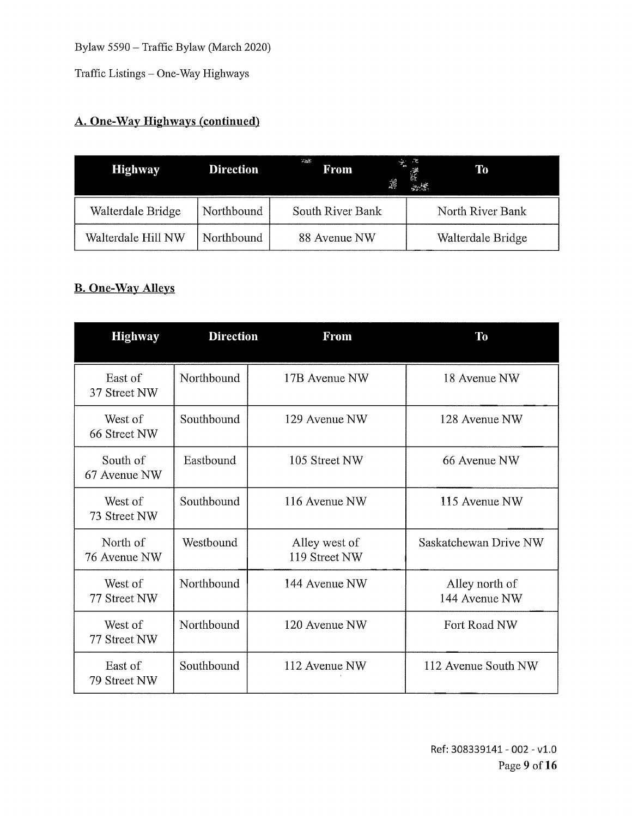Traffic Listings — One-Way Highways

# A. One-Way Highways (continued)

| <b>Highway</b>     | <b>Direction</b> | $\sim 100\,M_\odot$<br>From<br>滹 | ∻ू ट<br><b>To</b> |
|--------------------|------------------|----------------------------------|-------------------|
| Walterdale Bridge  | Northbound       | South River Bank                 | North River Bank  |
| Walterdale Hill NW | Northbound       | 88 Avenue NW                     | Walterdale Bridge |

#### B. One-Way Alleys

| <b>Highway</b>           | <b>Direction</b> | From                           | To                              |
|--------------------------|------------------|--------------------------------|---------------------------------|
| East of<br>37 Street NW  | Northbound       | 17B Avenue NW                  | 18 Avenue NW                    |
| West of<br>66 Street NW  | Southbound       | 129 Avenue NW                  | 128 Avenue NW                   |
| South of<br>67 Avenue NW | Eastbound        | 105 Street NW                  | 66 Avenue NW                    |
| West of<br>73 Street NW  | Southbound       | 116 Avenue NW                  | 115 Avenue NW                   |
| North of<br>76 Avenue NW | Westbound        | Alley west of<br>119 Street NW | Saskatchewan Drive NW           |
| West of<br>77 Street NW  | Northbound       | 144 Avenue NW                  | Alley north of<br>144 Avenue NW |
| West of<br>77 Street NW  | Northbound       | 120 Avenue NW                  | Fort Road NW                    |
| East of<br>79 Street NW  | Southbound       | 112 Avenue NW                  | 112 Avenue South NW             |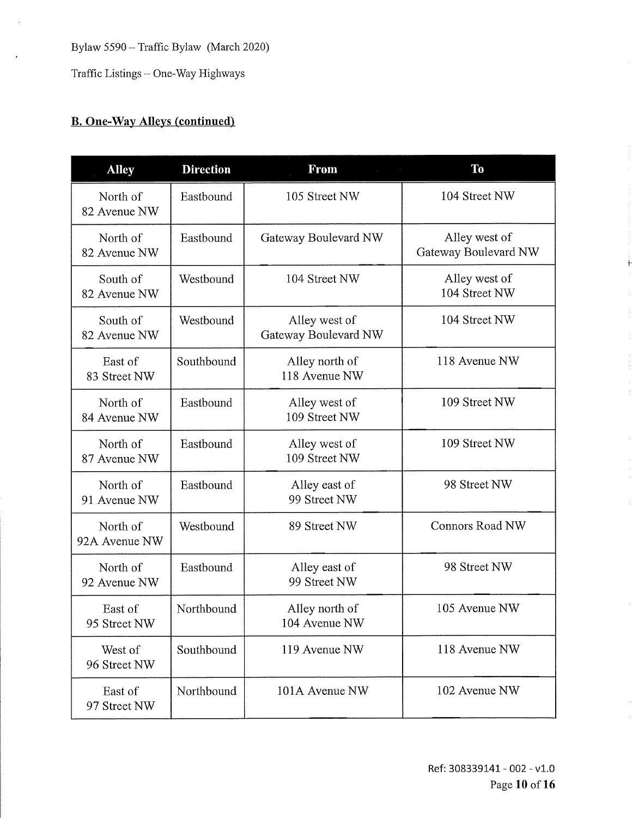Traffic Listings — One-Way Highways

# **B.** One-Way Alleys (continued)

| <b>Alley</b>              | <b>Direction</b> | From                                  | <b>To</b>                             |
|---------------------------|------------------|---------------------------------------|---------------------------------------|
| North of<br>82 Avenue NW  | Eastbound        | 105 Street NW                         | 104 Street NW                         |
| North of<br>82 Avenue NW  | Eastbound        | Gateway Boulevard NW                  | Alley west of<br>Gateway Boulevard NW |
| South of<br>82 Avenue NW  | Westbound        | 104 Street NW                         | Alley west of<br>104 Street NW        |
| South of<br>82 Avenue NW  | Westbound        | Alley west of<br>Gateway Boulevard NW | 104 Street NW                         |
| East of<br>83 Street NW   | Southbound       | Alley north of<br>118 Avenue NW       | 118 Avenue NW                         |
| North of<br>84 Avenue NW  | Eastbound        | Alley west of<br>109 Street NW        | 109 Street NW                         |
| North of<br>87 Avenue NW  | Eastbound        | Alley west of<br>109 Street NW        | 109 Street NW                         |
| North of<br>91 Avenue NW  | Eastbound        | Alley east of<br>99 Street NW         | 98 Street NW                          |
| North of<br>92A Avenue NW | Westbound        | 89 Street NW                          | <b>Connors Road NW</b>                |
| North of<br>92 Avenue NW  | Eastbound        | Alley east of<br>99 Street NW         | 98 Street NW                          |
| East of<br>95 Street NW   | Northbound       | Alley north of<br>104 Avenue NW       | 105 Avenue NW                         |
| West of<br>96 Street NW   | Southbound       | 119 Avenue NW                         | 118 Avenue NW                         |
| East of<br>97 Street NW   | Northbound       | 101A Avenue NW                        | 102 Avenue NW                         |

Ref: 308339141 - 002 - v1.0 Page 10 of **16**  ł.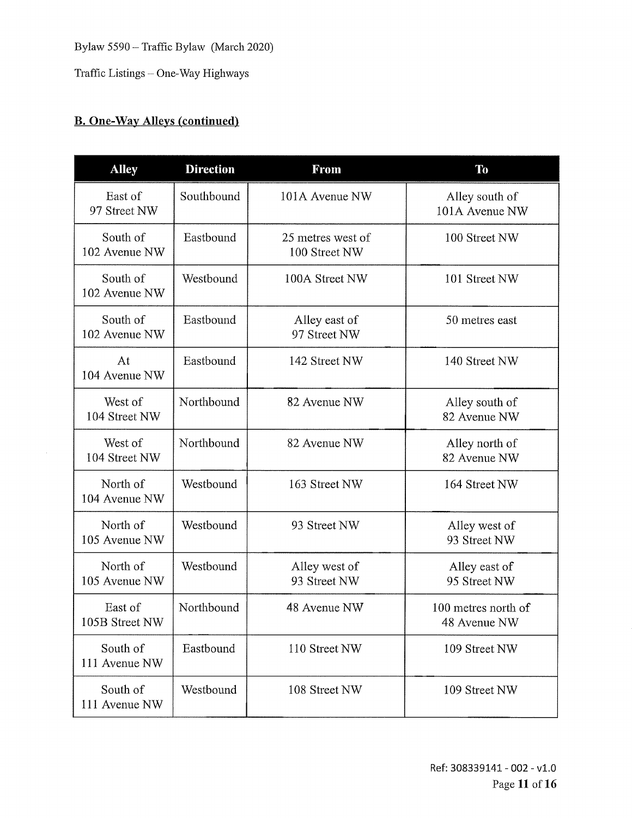Traffic Listings — One-Way Highways

### **B.** One-Way Alleys (continued)

| <b>Alley</b>              | <b>Direction</b> | <b>From</b>                        | To                                  |
|---------------------------|------------------|------------------------------------|-------------------------------------|
| East of<br>97 Street NW   | Southbound       | 101A Avenue NW                     | Alley south of<br>101A Avenue NW    |
| South of<br>102 Avenue NW | Eastbound        | 25 metres west of<br>100 Street NW | 100 Street NW                       |
| South of<br>102 Avenue NW | Westbound        | 100A Street NW                     | 101 Street NW                       |
| South of<br>102 Avenue NW | Eastbound        | Alley east of<br>97 Street NW      | 50 metres east                      |
| At<br>104 Avenue NW       | Eastbound        | 142 Street NW                      | 140 Street NW                       |
| West of<br>104 Street NW  | Northbound       | 82 Avenue NW                       | Alley south of<br>82 Avenue NW      |
| West of<br>104 Street NW  | Northbound       | 82 Avenue NW                       | Alley north of<br>82 Avenue NW      |
| North of<br>104 Avenue NW | Westbound        | 163 Street NW                      | 164 Street NW                       |
| North of<br>105 Avenue NW | Westbound        | 93 Street NW                       | Alley west of<br>93 Street NW       |
| North of<br>105 Avenue NW | Westbound        | Alley west of<br>93 Street NW      | Alley east of<br>95 Street NW       |
| East of<br>105B Street NW | Northbound       | 48 Avenue NW                       | 100 metres north of<br>48 Avenue NW |
| South of<br>111 Avenue NW | Eastbound        | 110 Street NW                      | 109 Street NW                       |
| South of<br>111 Avenue NW | Westbound        | 108 Street NW                      | 109 Street NW                       |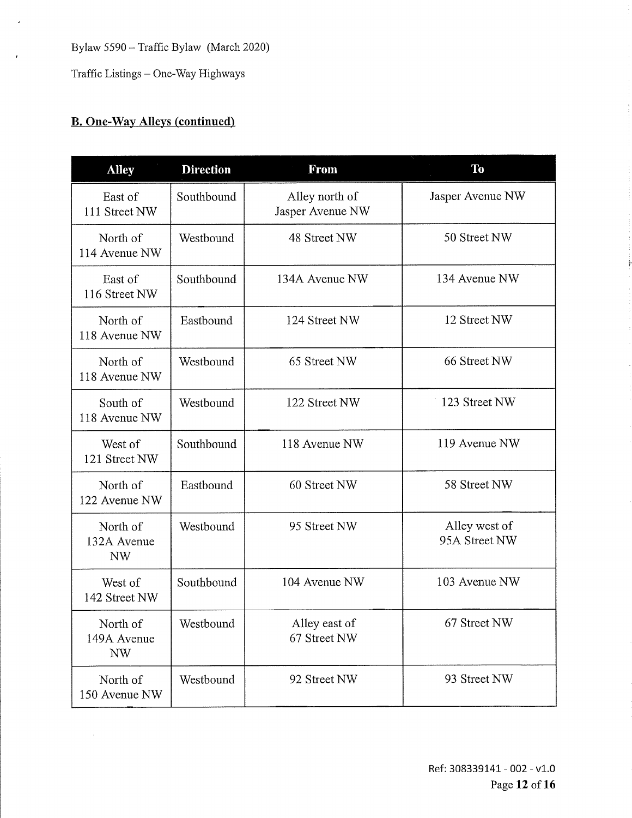Traffic Listings — One-Way Highways

### **B. One-Way Alleys (continued)**

| <b>Alley</b>                         | <b>Direction</b> | <b>From</b>                        | <b>To</b>                      |
|--------------------------------------|------------------|------------------------------------|--------------------------------|
| East of<br>111 Street NW             | Southbound       | Alley north of<br>Jasper Avenue NW | Jasper Avenue NW               |
| North of<br>114 Avenue NW            | Westbound        | 48 Street NW                       | 50 Street NW                   |
| East of<br>116 Street NW             | Southbound       | 134A Avenue NW                     | 134 Avenue NW                  |
| North of<br>118 Avenue NW            | Eastbound        | 124 Street NW                      | 12 Street NW                   |
| North of<br>118 Avenue NW            | Westbound        | 65 Street NW                       | 66 Street NW                   |
| South of<br>118 Avenue NW            | Westbound        | 122 Street NW                      | 123 Street NW                  |
| West of<br>121 Street NW             | Southbound       | 118 Avenue NW                      | 119 Avenue NW                  |
| North of<br>122 Avenue NW            | Eastbound        | 60 Street NW                       | 58 Street NW                   |
| North of<br>132A Avenue<br><b>NW</b> | Westbound        | 95 Street NW                       | Alley west of<br>95A Street NW |
| West of<br>142 Street NW             | Southbound       | 104 Avenue NW                      | 103 Avenue NW                  |
| North of<br>149A Avenue<br>NW        | Westbound        | Alley east of<br>67 Street NW      | 67 Street NW                   |
| North of<br>150 Avenue NW            | Westbound        | 92 Street NW                       | 93 Street NW                   |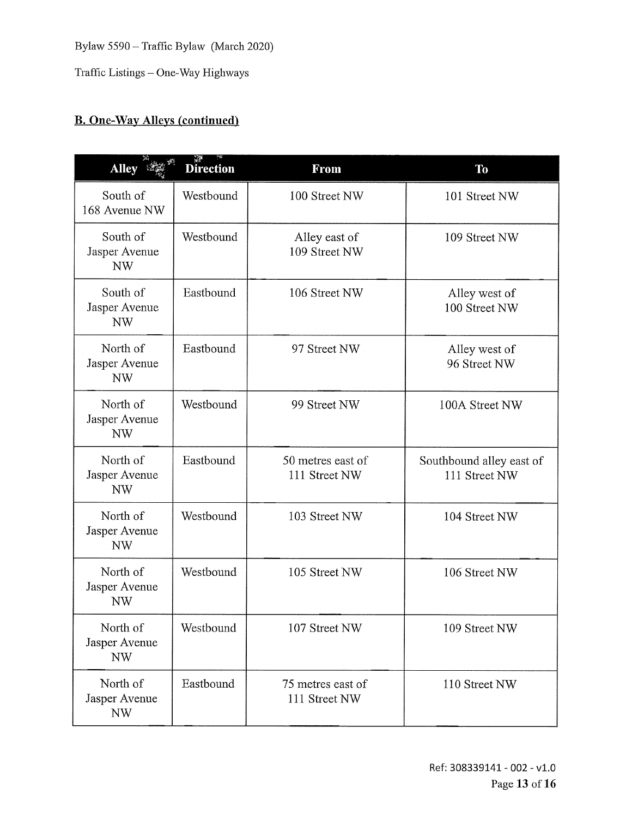Traffic Listings — One-Way Highways

#### **B.** One-Way Alleys (continued)

| Alley is                               | <b>Direction</b> | From                               | To                                        |
|----------------------------------------|------------------|------------------------------------|-------------------------------------------|
| South of<br>168 Avenue NW              | Westbound        | 100 Street NW                      | 101 Street NW                             |
| South of<br>Jasper Avenue<br>NW        | Westbound        | Alley east of<br>109 Street NW     | 109 Street NW                             |
| South of<br>Jasper Avenue<br><b>NW</b> | Eastbound        | 106 Street NW                      | Alley west of<br>100 Street NW            |
| North of<br>Jasper Avenue<br>NW        | Eastbound        | 97 Street NW                       | Alley west of<br>96 Street NW             |
| North of<br>Jasper Avenue<br><b>NW</b> | Westbound        | 99 Street NW                       | 100A Street NW                            |
| North of<br>Jasper Avenue<br><b>NW</b> | Eastbound        | 50 metres east of<br>111 Street NW | Southbound alley east of<br>111 Street NW |
| North of<br>Jasper Avenue<br><b>NW</b> | Westbound        | 103 Street NW                      | 104 Street NW                             |
| North of<br>Jasper Avenue<br><b>NW</b> | Westbound        | 105 Street NW                      | 106 Street NW                             |
| North of<br>Jasper Avenue<br>NW        | Westbound        | 107 Street NW                      | 109 Street NW                             |
| North of<br>Jasper Avenue<br><b>NW</b> | Eastbound        | 75 metres east of<br>111 Street NW | 110 Street NW                             |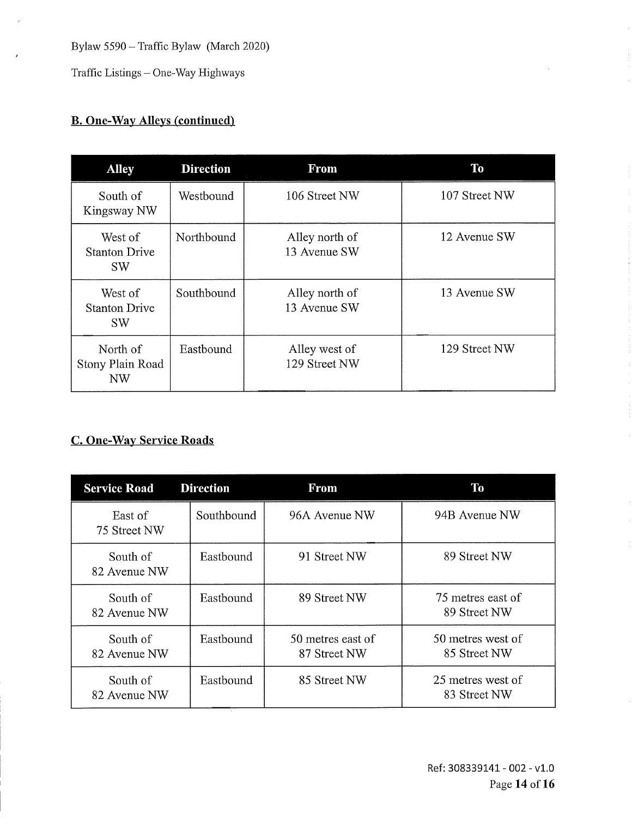Traffic Listings — One-Way Highways

#### **B.** One-Way Alleys (continued)

| <b>Alley</b>                                      | <b>Direction</b> | <b>From</b>                    | To            |
|---------------------------------------------------|------------------|--------------------------------|---------------|
| South of<br>Kingsway NW                           | Westbound        | 106 Street NW                  | 107 Street NW |
| West of<br><b>Stanton Drive</b><br><b>SW</b>      | Northbound       | Alley north of<br>13 Avenue SW | 12 Avenue SW  |
| West of<br><b>Stanton Drive</b><br>SW <sub></sub> | Southbound       | Alley north of<br>13 Avenue SW | 13 Avenue SW  |
| North of<br>Stony Plain Road<br>NW                | Eastbound        | Alley west of<br>129 Street NW | 129 Street NW |

### C. One-Way Service Roads

| <b>Service Road</b>      | <b>Direction</b> | <b>From</b>                       | Тo                                |
|--------------------------|------------------|-----------------------------------|-----------------------------------|
| East of<br>75 Street NW  | Southbound       | 96A Avenue NW                     | 94B Avenue NW                     |
| South of<br>82 Avenue NW | Eastbound        | 91 Street NW                      | 89 Street NW                      |
| South of<br>82 Avenue NW | Eastbound        | 89 Street NW                      | 75 metres east of<br>89 Street NW |
| South of<br>82 Avenue NW | Eastbound        | 50 metres east of<br>87 Street NW | 50 metres west of<br>85 Street NW |
| South of<br>82 Avenue NW | Eastbound        | 85 Street NW                      | 25 metres west of<br>83 Street NW |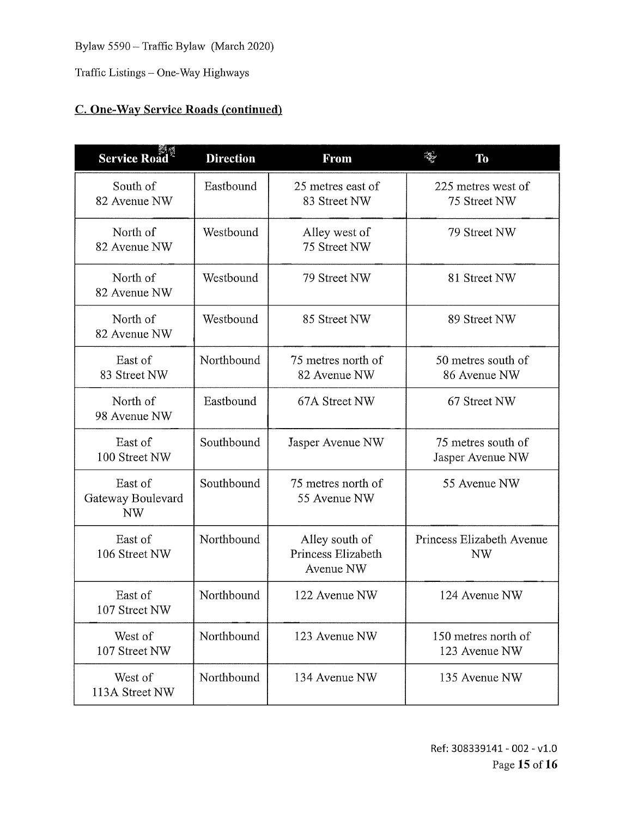Traffic Listings — One-Way Highways

#### C. One-Way Service Roads (continued)

| <b>Service Road</b>                       | <b>Direction</b> | <b>From</b>                                       | $\mathcal{L}_{\mathcal{P}}$<br>To      |
|-------------------------------------------|------------------|---------------------------------------------------|----------------------------------------|
| South of<br>82 Avenue NW                  | Eastbound        | 25 metres east of<br>83 Street NW                 | 225 metres west of<br>75 Street NW     |
| North of<br>82 Avenue NW                  | Westbound        | Alley west of<br>75 Street NW                     | 79 Street NW                           |
| North of<br>82 Avenue NW                  | Westbound        | 79 Street NW                                      | 81 Street NW                           |
| North of<br>82 Avenue NW                  | Westbound        | 85 Street NW                                      | 89 Street NW                           |
| East of<br>83 Street NW                   | Northbound       | 75 metres north of<br>82 Avenue NW                | 50 metres south of<br>86 Avenue NW     |
| North of<br>98 Avenue NW                  | Eastbound        | 67A Street NW                                     | 67 Street NW                           |
| East of<br>100 Street NW                  | Southbound       | Jasper Avenue NW                                  | 75 metres south of<br>Jasper Avenue NW |
| East of<br>Gateway Boulevard<br><b>NW</b> | Southbound       | 75 metres north of<br>55 Avenue NW                | 55 Avenue NW                           |
| East of<br>106 Street NW                  | Northbound       | Alley south of<br>Princess Elizabeth<br>Avenue NW | Princess Elizabeth Avenue<br><b>NW</b> |
| East of<br>107 Street NW                  | Northbound       | 122 Avenue NW                                     | 124 Avenue NW                          |
| West of<br>107 Street NW                  | Northbound       | 123 Avenue NW                                     | 150 metres north of<br>123 Avenue NW   |
| West of<br>113A Street NW                 | Northbound       | 134 Avenue NW                                     | 135 Avenue NW                          |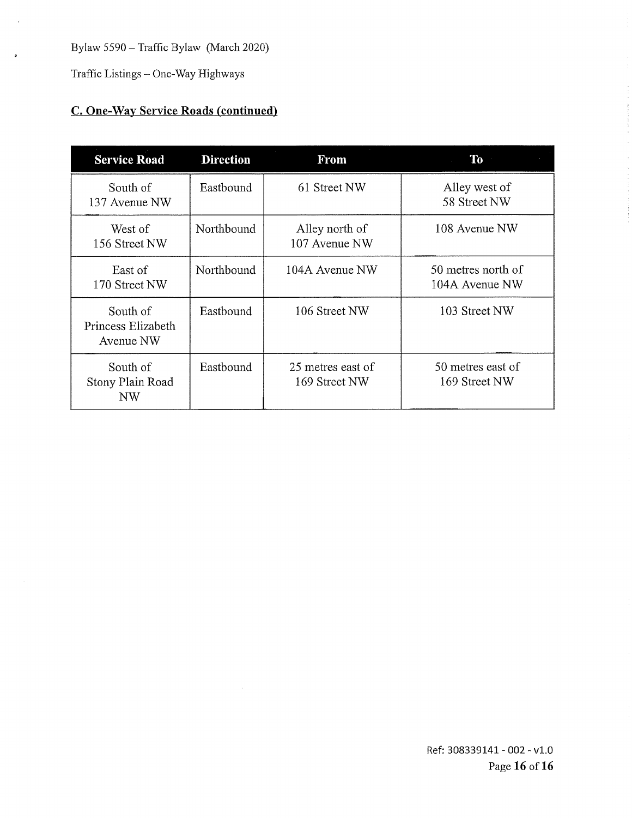Traffic Listings — One-Way Highways

 $\bar{\lambda}$ 

### C. One-Way Service Roads (continued)

| <b>Service Road</b>                         | <b>Direction</b> | <b>From</b>                        | <b>To</b>                            |
|---------------------------------------------|------------------|------------------------------------|--------------------------------------|
| South of<br>137 Avenue NW                   | Eastbound        | 61 Street NW                       | Alley west of<br>58 Street NW        |
| West of<br>156 Street NW                    | Northbound       | Alley north of<br>107 Avenue NW    | 108 Avenue NW                        |
| East of<br>170 Street NW                    | Northbound       | 104A Avenue NW                     | 50 metres north of<br>104A Avenue NW |
| South of<br>Princess Elizabeth<br>Avenue NW | Eastbound        | 106 Street NW                      | 103 Street NW                        |
| South of<br>Stony Plain Road<br>NW          | Eastbound        | 25 metres east of<br>169 Street NW | 50 metres east of<br>169 Street NW   |